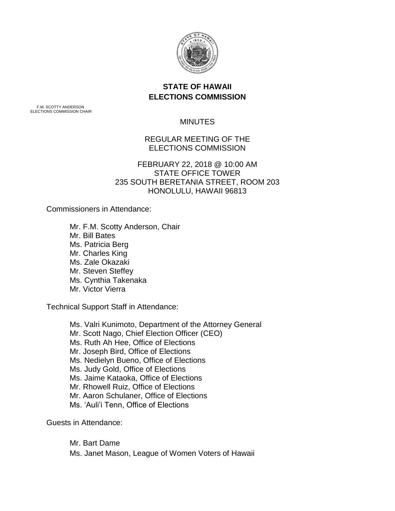

# **STATE OF HAWAII ELECTIONS COMMISSION**

F.M. SCOTTY ANDERSON ELECTIONS COMMISSION CHAIR

## **MINUTES**

## REGULAR MEETING OF THE ELECTIONS COMMISSION

## FEBRUARY 22, 2018 @ 10:00 AM STATE OFFICE TOWER 235 SOUTH BERETANIA STREET, ROOM 203 HONOLULU, HAWAII 96813

Commissioners in Attendance:

Mr. F.M. Scotty Anderson, Chair Mr. Bill Bates Ms. Patricia Berg Mr. Charles King Ms. Zale Okazaki Mr. Steven Steffey Ms. Cynthia Takenaka Mr. Victor Vierra

Technical Support Staff in Attendance:

Ms. Valri Kunimoto, Department of the Attorney General Mr. Scott Nago, Chief Election Officer (CEO) Ms. Ruth Ah Hee, Office of Elections Mr. Joseph Bird, Office of Elections Ms. Nedielyn Bueno, Office of Elections Ms. Judy Gold, Office of Elections Ms. Jaime Kataoka, Office of Elections Mr. Rhowell Ruiz, Office of Elections Mr. Aaron Schulaner, Office of Elections Ms. 'Auli'i Tenn, Office of Elections

Guests in Attendance:

Mr. Bart Dame Ms. Janet Mason, League of Women Voters of Hawaii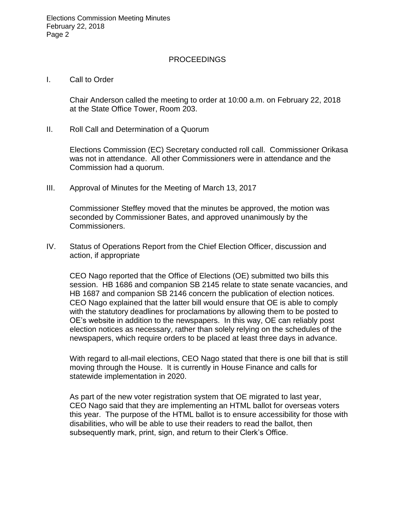#### PROCEEDINGS

#### I. Call to Order

Chair Anderson called the meeting to order at 10:00 a.m. on February 22, 2018 at the State Office Tower, Room 203.

II. Roll Call and Determination of a Quorum

Elections Commission (EC) Secretary conducted roll call. Commissioner Orikasa was not in attendance. All other Commissioners were in attendance and the Commission had a quorum.

III. Approval of Minutes for the Meeting of March 13, 2017

Commissioner Steffey moved that the minutes be approved, the motion was seconded by Commissioner Bates, and approved unanimously by the Commissioners.

IV. Status of Operations Report from the Chief Election Officer, discussion and action, if appropriate

CEO Nago reported that the Office of Elections (OE) submitted two bills this session. HB 1686 and companion SB 2145 relate to state senate vacancies, and HB 1687 and companion SB 2146 concern the publication of election notices. CEO Nago explained that the latter bill would ensure that OE is able to comply with the statutory deadlines for proclamations by allowing them to be posted to OE's website in addition to the newspapers. In this way, OE can reliably post election notices as necessary, rather than solely relying on the schedules of the newspapers, which require orders to be placed at least three days in advance.

With regard to all-mail elections, CEO Nago stated that there is one bill that is still moving through the House. It is currently in House Finance and calls for statewide implementation in 2020.

As part of the new voter registration system that OE migrated to last year, CEO Nago said that they are implementing an HTML ballot for overseas voters this year. The purpose of the HTML ballot is to ensure accessibility for those with disabilities, who will be able to use their readers to read the ballot, then subsequently mark, print, sign, and return to their Clerk's Office.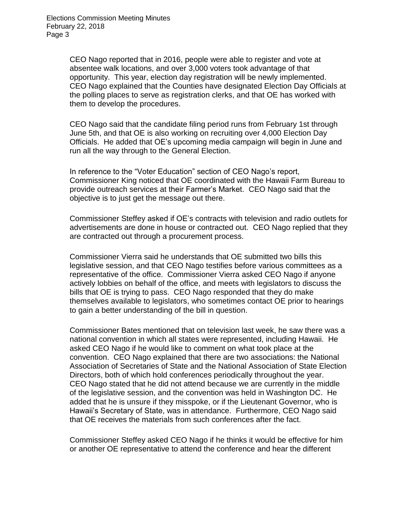CEO Nago reported that in 2016, people were able to register and vote at absentee walk locations, and over 3,000 voters took advantage of that opportunity. This year, election day registration will be newly implemented. CEO Nago explained that the Counties have designated Election Day Officials at the polling places to serve as registration clerks, and that OE has worked with them to develop the procedures.

CEO Nago said that the candidate filing period runs from February 1st through June 5th, and that OE is also working on recruiting over 4,000 Election Day Officials. He added that OE's upcoming media campaign will begin in June and run all the way through to the General Election.

In reference to the "Voter Education" section of CEO Nago's report, Commissioner King noticed that OE coordinated with the Hawaii Farm Bureau to provide outreach services at their Farmer's Market. CEO Nago said that the objective is to just get the message out there.

Commissioner Steffey asked if OE's contracts with television and radio outlets for advertisements are done in house or contracted out. CEO Nago replied that they are contracted out through a procurement process.

Commissioner Vierra said he understands that OE submitted two bills this legislative session, and that CEO Nago testifies before various committees as a representative of the office. Commissioner Vierra asked CEO Nago if anyone actively lobbies on behalf of the office, and meets with legislators to discuss the bills that OE is trying to pass. CEO Nago responded that they do make themselves available to legislators, who sometimes contact OE prior to hearings to gain a better understanding of the bill in question.

Commissioner Bates mentioned that on television last week, he saw there was a national convention in which all states were represented, including Hawaii. He asked CEO Nago if he would like to comment on what took place at the convention. CEO Nago explained that there are two associations: the National Association of Secretaries of State and the National Association of State Election Directors, both of which hold conferences periodically throughout the year. CEO Nago stated that he did not attend because we are currently in the middle of the legislative session, and the convention was held in Washington DC. He added that he is unsure if they misspoke, or if the Lieutenant Governor, who is Hawaii's Secretary of State, was in attendance. Furthermore, CEO Nago said that OE receives the materials from such conferences after the fact.

Commissioner Steffey asked CEO Nago if he thinks it would be effective for him or another OE representative to attend the conference and hear the different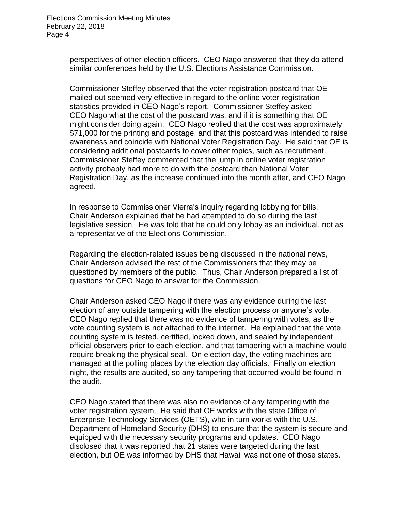perspectives of other election officers. CEO Nago answered that they do attend similar conferences held by the U.S. Elections Assistance Commission.

Commissioner Steffey observed that the voter registration postcard that OE mailed out seemed very effective in regard to the online voter registration statistics provided in CEO Nago's report. Commissioner Steffey asked CEO Nago what the cost of the postcard was, and if it is something that OE might consider doing again. CEO Nago replied that the cost was approximately \$71,000 for the printing and postage, and that this postcard was intended to raise awareness and coincide with National Voter Registration Day. He said that OE is considering additional postcards to cover other topics, such as recruitment. Commissioner Steffey commented that the jump in online voter registration activity probably had more to do with the postcard than National Voter Registration Day, as the increase continued into the month after, and CEO Nago agreed.

In response to Commissioner Vierra's inquiry regarding lobbying for bills, Chair Anderson explained that he had attempted to do so during the last legislative session. He was told that he could only lobby as an individual, not as a representative of the Elections Commission.

Regarding the election-related issues being discussed in the national news, Chair Anderson advised the rest of the Commissioners that they may be questioned by members of the public. Thus, Chair Anderson prepared a list of questions for CEO Nago to answer for the Commission.

Chair Anderson asked CEO Nago if there was any evidence during the last election of any outside tampering with the election process or anyone's vote. CEO Nago replied that there was no evidence of tampering with votes, as the vote counting system is not attached to the internet. He explained that the vote counting system is tested, certified, locked down, and sealed by independent official observers prior to each election, and that tampering with a machine would require breaking the physical seal. On election day, the voting machines are managed at the polling places by the election day officials. Finally on election night, the results are audited, so any tampering that occurred would be found in the audit.

CEO Nago stated that there was also no evidence of any tampering with the voter registration system. He said that OE works with the state Office of Enterprise Technology Services (OETS), who in turn works with the U.S. Department of Homeland Security (DHS) to ensure that the system is secure and equipped with the necessary security programs and updates. CEO Nago disclosed that it was reported that 21 states were targeted during the last election, but OE was informed by DHS that Hawaii was not one of those states.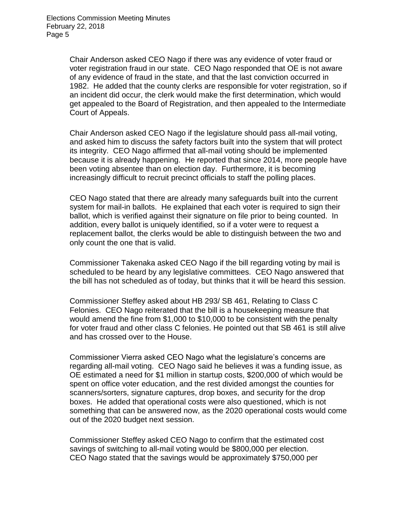Chair Anderson asked CEO Nago if there was any evidence of voter fraud or voter registration fraud in our state. CEO Nago responded that OE is not aware of any evidence of fraud in the state, and that the last conviction occurred in 1982. He added that the county clerks are responsible for voter registration, so if an incident did occur, the clerk would make the first determination, which would get appealed to the Board of Registration, and then appealed to the Intermediate Court of Appeals.

Chair Anderson asked CEO Nago if the legislature should pass all-mail voting, and asked him to discuss the safety factors built into the system that will protect its integrity. CEO Nago affirmed that all-mail voting should be implemented because it is already happening. He reported that since 2014, more people have been voting absentee than on election day. Furthermore, it is becoming increasingly difficult to recruit precinct officials to staff the polling places.

CEO Nago stated that there are already many safeguards built into the current system for mail-in ballots. He explained that each voter is required to sign their ballot, which is verified against their signature on file prior to being counted. In addition, every ballot is uniquely identified, so if a voter were to request a replacement ballot, the clerks would be able to distinguish between the two and only count the one that is valid.

Commissioner Takenaka asked CEO Nago if the bill regarding voting by mail is scheduled to be heard by any legislative committees. CEO Nago answered that the bill has not scheduled as of today, but thinks that it will be heard this session.

Commissioner Steffey asked about HB 293/ SB 461, Relating to Class C Felonies. CEO Nago reiterated that the bill is a housekeeping measure that would amend the fine from \$1,000 to \$10,000 to be consistent with the penalty for voter fraud and other class C felonies. He pointed out that SB 461 is still alive and has crossed over to the House.

Commissioner Vierra asked CEO Nago what the legislature's concerns are regarding all-mail voting. CEO Nago said he believes it was a funding issue, as OE estimated a need for \$1 million in startup costs, \$200,000 of which would be spent on office voter education, and the rest divided amongst the counties for scanners/sorters, signature captures, drop boxes, and security for the drop boxes. He added that operational costs were also questioned, which is not something that can be answered now, as the 2020 operational costs would come out of the 2020 budget next session.

Commissioner Steffey asked CEO Nago to confirm that the estimated cost savings of switching to all-mail voting would be \$800,000 per election. CEO Nago stated that the savings would be approximately \$750,000 per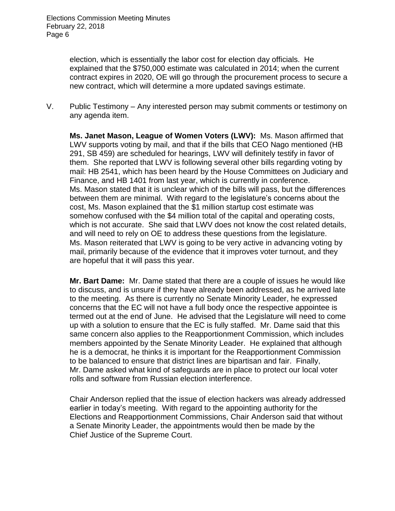election, which is essentially the labor cost for election day officials. He explained that the \$750,000 estimate was calculated in 2014; when the current contract expires in 2020, OE will go through the procurement process to secure a new contract, which will determine a more updated savings estimate.

V. Public Testimony – Any interested person may submit comments or testimony on any agenda item.

**Ms. Janet Mason, League of Women Voters (LWV):** Ms. Mason affirmed that LWV supports voting by mail, and that if the bills that CEO Nago mentioned (HB 291, SB 459) are scheduled for hearings, LWV will definitely testify in favor of them. She reported that LWV is following several other bills regarding voting by mail: HB 2541, which has been heard by the House Committees on Judiciary and Finance, and HB 1401 from last year, which is currently in conference. Ms. Mason stated that it is unclear which of the bills will pass, but the differences between them are minimal. With regard to the legislature's concerns about the cost, Ms. Mason explained that the \$1 million startup cost estimate was somehow confused with the \$4 million total of the capital and operating costs, which is not accurate. She said that LWV does not know the cost related details, and will need to rely on OE to address these questions from the legislature. Ms. Mason reiterated that LWV is going to be very active in advancing voting by mail, primarily because of the evidence that it improves voter turnout, and they are hopeful that it will pass this year.

**Mr. Bart Dame:** Mr. Dame stated that there are a couple of issues he would like to discuss, and is unsure if they have already been addressed, as he arrived late to the meeting. As there is currently no Senate Minority Leader, he expressed concerns that the EC will not have a full body once the respective appointee is termed out at the end of June. He advised that the Legislature will need to come up with a solution to ensure that the EC is fully staffed. Mr. Dame said that this same concern also applies to the Reapportionment Commission, which includes members appointed by the Senate Minority Leader. He explained that although he is a democrat, he thinks it is important for the Reapportionment Commission to be balanced to ensure that district lines are bipartisan and fair. Finally, Mr. Dame asked what kind of safeguards are in place to protect our local voter rolls and software from Russian election interference.

Chair Anderson replied that the issue of election hackers was already addressed earlier in today's meeting. With regard to the appointing authority for the Elections and Reapportionment Commissions, Chair Anderson said that without a Senate Minority Leader, the appointments would then be made by the Chief Justice of the Supreme Court.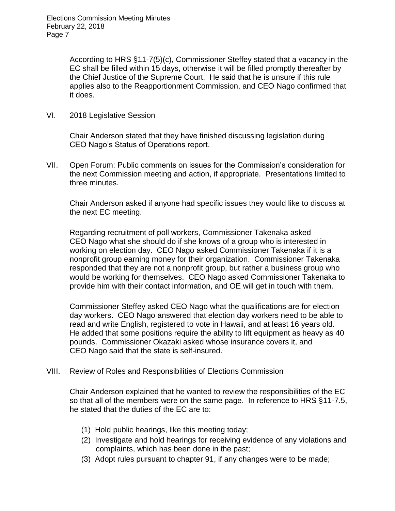According to HRS §11-7(5)(c), Commissioner Steffey stated that a vacancy in the EC shall be filled within 15 days, otherwise it will be filled promptly thereafter by the Chief Justice of the Supreme Court. He said that he is unsure if this rule applies also to the Reapportionment Commission, and CEO Nago confirmed that it does.

VI. 2018 Legislative Session

Chair Anderson stated that they have finished discussing legislation during CEO Nago's Status of Operations report.

VII. Open Forum: Public comments on issues for the Commission's consideration for the next Commission meeting and action, if appropriate. Presentations limited to three minutes.

Chair Anderson asked if anyone had specific issues they would like to discuss at the next EC meeting.

Regarding recruitment of poll workers, Commissioner Takenaka asked CEO Nago what she should do if she knows of a group who is interested in working on election day. CEO Nago asked Commissioner Takenaka if it is a nonprofit group earning money for their organization. Commissioner Takenaka responded that they are not a nonprofit group, but rather a business group who would be working for themselves. CEO Nago asked Commissioner Takenaka to provide him with their contact information, and OE will get in touch with them.

Commissioner Steffey asked CEO Nago what the qualifications are for election day workers. CEO Nago answered that election day workers need to be able to read and write English, registered to vote in Hawaii, and at least 16 years old. He added that some positions require the ability to lift equipment as heavy as 40 pounds. Commissioner Okazaki asked whose insurance covers it, and CEO Nago said that the state is self-insured.

VIII. Review of Roles and Responsibilities of Elections Commission

Chair Anderson explained that he wanted to review the responsibilities of the EC so that all of the members were on the same page. In reference to HRS §11-7.5, he stated that the duties of the EC are to:

- (1) Hold public hearings, like this meeting today;
- (2) Investigate and hold hearings for receiving evidence of any violations and complaints, which has been done in the past;
- (3) Adopt rules pursuant to chapter 91, if any changes were to be made;